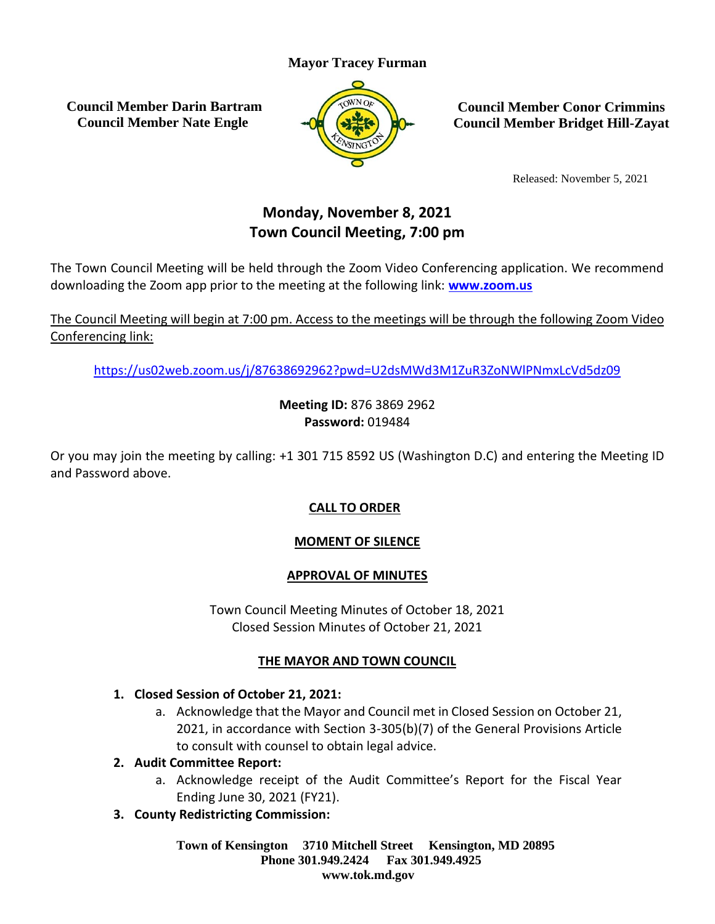## **Mayor Tracey Furman**

**Council Member Darin Bartram Council Member Nate Engle**



**Council Member Conor Crimmins Council Member Bridget Hill-Zayat**

Released: November 5, 2021

# **Monday, November 8, 2021 Town Council Meeting, 7:00 pm**

The Town Council Meeting will be held through the Zoom Video Conferencing application. We recommend downloading the Zoom app prior to the meeting at the following link: **[www.zoom.us](http://www.zoom.us/)**

The Council Meeting will begin at 7:00 pm. Access to the meetings will be through the following Zoom Video Conferencing link:

<https://us02web.zoom.us/j/87638692962?pwd=U2dsMWd3M1ZuR3ZoNWlPNmxLcVd5dz09>

**Meeting ID:** 876 3869 2962 **Password:** 019484

Or you may join the meeting by calling: +1 301 715 8592 US (Washington D.C) and entering the Meeting ID and Password above.

## **CALL TO ORDER**

## **MOMENT OF SILENCE**

#### **APPROVAL OF MINUTES**

Town Council Meeting Minutes of October 18, 2021 Closed Session Minutes of October 21, 2021

#### **THE MAYOR AND TOWN COUNCIL**

#### **1. Closed Session of October 21, 2021:**

a. Acknowledge that the Mayor and Council met in Closed Session on October 21, 2021, in accordance with Section 3-305(b)(7) of the General Provisions Article to consult with counsel to obtain legal advice.

#### **2. Audit Committee Report:**

- a. Acknowledge receipt of the Audit Committee's Report for the Fiscal Year Ending June 30, 2021 (FY21).
- **3. County Redistricting Commission:**

**Town of Kensington 3710 Mitchell Street Kensington, MD 20895 Phone 301.949.2424 Fax 301.949.4925 www.tok.md.gov**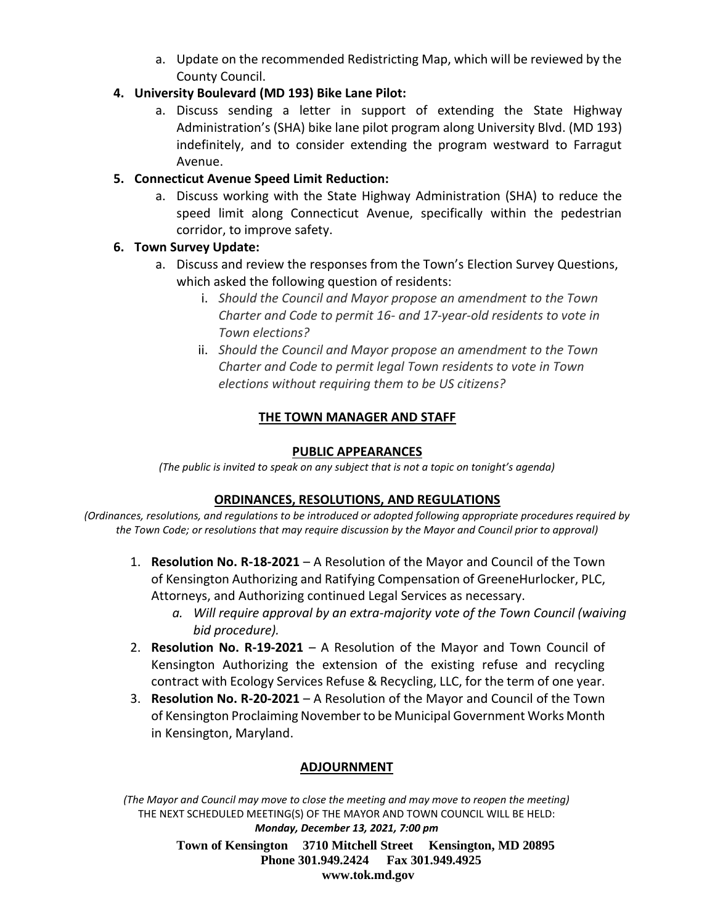a. Update on the recommended Redistricting Map, which will be reviewed by the County Council.

#### **4. University Boulevard (MD 193) Bike Lane Pilot:**

a. Discuss sending a letter in support of extending the State Highway Administration's (SHA) bike lane pilot program along University Blvd. (MD 193) indefinitely, and to consider extending the program westward to Farragut Avenue.

## **5. Connecticut Avenue Speed Limit Reduction:**

a. Discuss working with the State Highway Administration (SHA) to reduce the speed limit along Connecticut Avenue, specifically within the pedestrian corridor, to improve safety.

## **6. Town Survey Update:**

- a. Discuss and review the responses from the Town's Election Survey Questions, which asked the following question of residents:
	- i. *Should the Council and Mayor propose an amendment to the Town Charter and Code to permit 16- and 17-year-old residents to vote in Town elections?*
	- ii. *Should the Council and Mayor propose an amendment to the Town Charter and Code to permit legal Town residents to vote in Town elections without requiring them to be US citizens?*

## **THE TOWN MANAGER AND STAFF**

#### **PUBLIC APPEARANCES**

*(The public is invited to speak on any subject that is not a topic on tonight's agenda)*

#### **ORDINANCES, RESOLUTIONS, AND REGULATIONS**

*(Ordinances, resolutions, and regulations to be introduced or adopted following appropriate procedures required by the Town Code; or resolutions that may require discussion by the Mayor and Council prior to approval)*

- 1. **Resolution No. R-18-2021** A Resolution of the Mayor and Council of the Town of Kensington Authorizing and Ratifying Compensation of GreeneHurlocker, PLC, Attorneys, and Authorizing continued Legal Services as necessary.
	- *a. Will require approval by an extra-majority vote of the Town Council (waiving bid procedure).*
- 2. **Resolution No. R-19-2021** A Resolution of the Mayor and Town Council of Kensington Authorizing the extension of the existing refuse and recycling contract with Ecology Services Refuse & Recycling, LLC, for the term of one year.
- 3. **Resolution No. R-20-2021** A Resolution of the Mayor and Council of the Town of Kensington Proclaiming November to be Municipal Government Works Month in Kensington, Maryland.

#### **ADJOURNMENT**

**Town of Kensington 3710 Mitchell Street Kensington, MD 20895** *(The Mayor and Council may move to close the meeting and may move to reopen the meeting)* THE NEXT SCHEDULED MEETING(S) OF THE MAYOR AND TOWN COUNCIL WILL BE HELD: *Monday, December 13, 2021, 7:00 pm*

**Phone 301.949.2424 Fax 301.949.4925**

#### **www.tok.md.gov**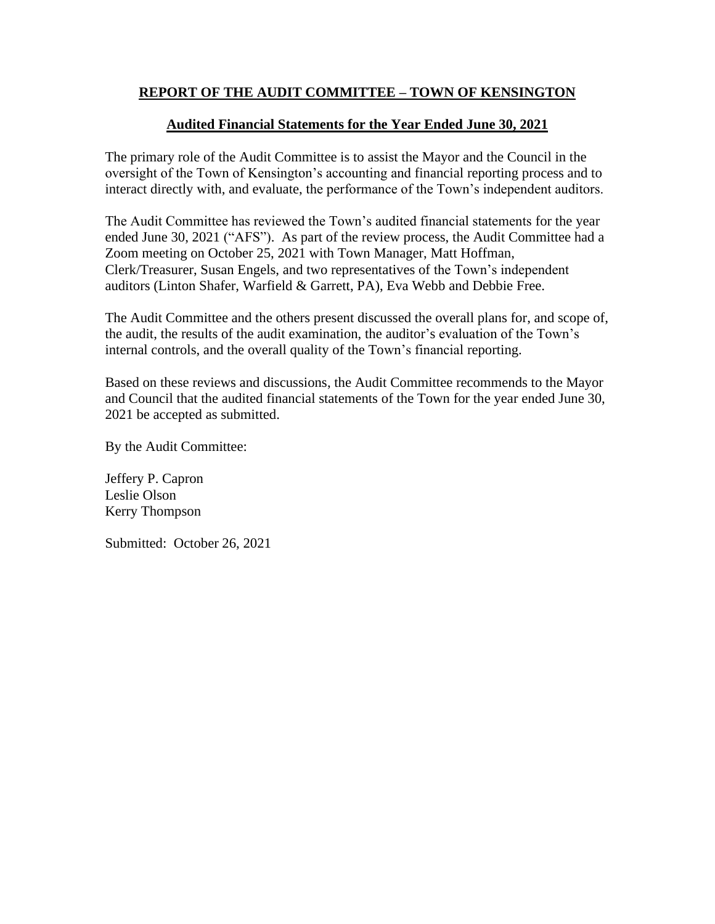#### **REPORT OF THE AUDIT COMMITTEE – TOWN OF KENSINGTON**

#### **Audited Financial Statements for the Year Ended June 30, 2021**

The primary role of the Audit Committee is to assist the Mayor and the Council in the oversight of the Town of Kensington's accounting and financial reporting process and to interact directly with, and evaluate, the performance of the Town's independent auditors.

The Audit Committee has reviewed the Town's audited financial statements for the year ended June 30, 2021 ("AFS"). As part of the review process, the Audit Committee had a Zoom meeting on October 25, 2021 with Town Manager, Matt Hoffman, Clerk/Treasurer, Susan Engels, and two representatives of the Town's independent auditors (Linton Shafer, Warfield & Garrett, PA), Eva Webb and Debbie Free.

The Audit Committee and the others present discussed the overall plans for, and scope of, the audit, the results of the audit examination, the auditor's evaluation of the Town's internal controls, and the overall quality of the Town's financial reporting.

Based on these reviews and discussions, the Audit Committee recommends to the Mayor and Council that the audited financial statements of the Town for the year ended June 30, 2021 be accepted as submitted.

By the Audit Committee:

Jeffery P. Capron Leslie Olson Kerry Thompson

Submitted: October 26, 2021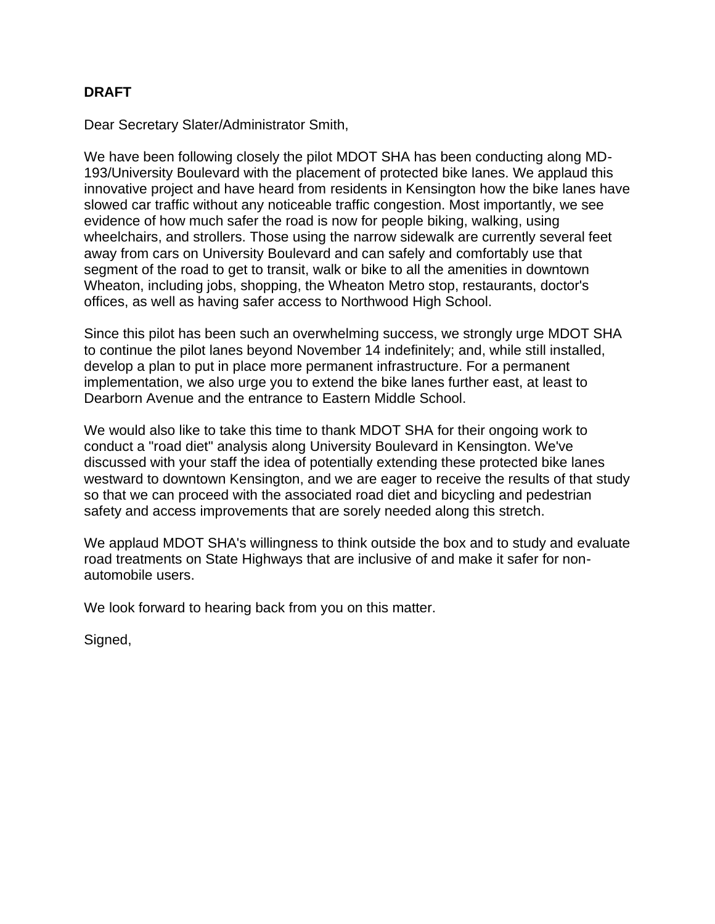#### **DRAFT**

Dear Secretary Slater/Administrator Smith,

We have been following closely the pilot MDOT SHA has been conducting along MD-193/University Boulevard with the placement of protected bike lanes. We applaud this innovative project and have heard from residents in Kensington how the bike lanes have slowed car traffic without any noticeable traffic congestion. Most importantly, we see evidence of how much safer the road is now for people biking, walking, using wheelchairs, and strollers. Those using the narrow sidewalk are currently several feet away from cars on University Boulevard and can safely and comfortably use that segment of the road to get to transit, walk or bike to all the amenities in downtown Wheaton, including jobs, shopping, the Wheaton Metro stop, restaurants, doctor's offices, as well as having safer access to Northwood High School.

Since this pilot has been such an overwhelming success, we strongly urge MDOT SHA to continue the pilot lanes beyond November 14 indefinitely; and, while still installed, develop a plan to put in place more permanent infrastructure. For a permanent implementation, we also urge you to extend the bike lanes further east, at least to Dearborn Avenue and the entrance to Eastern Middle School.

We would also like to take this time to thank MDOT SHA for their ongoing work to conduct a "road diet" analysis along University Boulevard in Kensington. We've discussed with your staff the idea of potentially extending these protected bike lanes westward to downtown Kensington, and we are eager to receive the results of that study so that we can proceed with the associated road diet and bicycling and pedestrian safety and access improvements that are sorely needed along this stretch.

We applaud MDOT SHA's willingness to think outside the box and to study and evaluate road treatments on State Highways that are inclusive of and make it safer for nonautomobile users.

We look forward to hearing back from you on this matter.

Signed,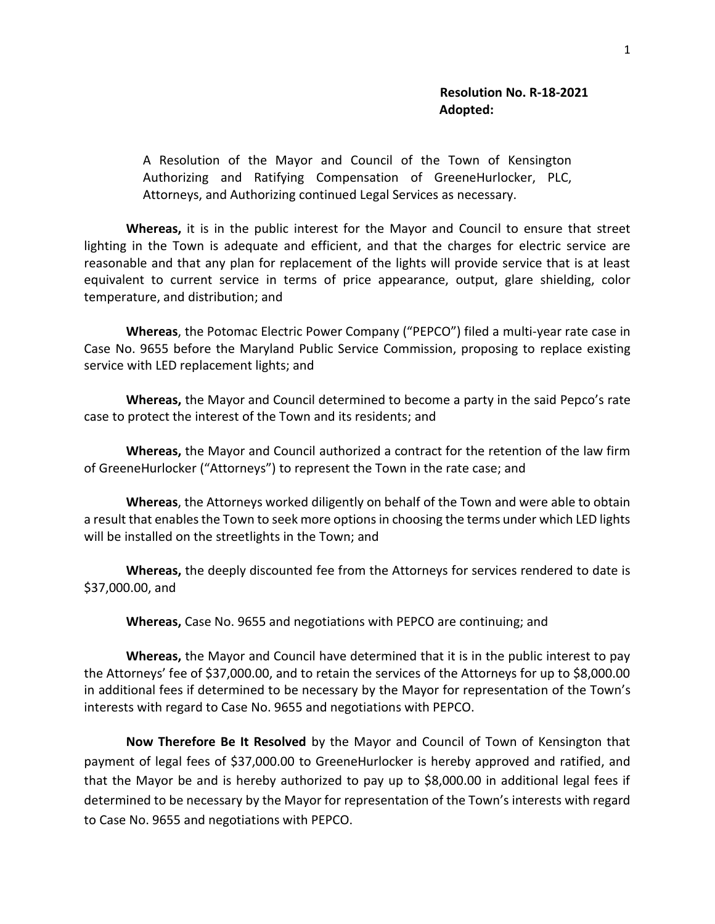A Resolution of the Mayor and Council of the Town of Kensington Authorizing and Ratifying Compensation of GreeneHurlocker, PLC, Attorneys, and Authorizing continued Legal Services as necessary.

**Whereas,** it is in the public interest for the Mayor and Council to ensure that street lighting in the Town is adequate and efficient, and that the charges for electric service are reasonable and that any plan for replacement of the lights will provide service that is at least equivalent to current service in terms of price appearance, output, glare shielding, color temperature, and distribution; and

**Whereas**, the Potomac Electric Power Company ("PEPCO") filed a multi-year rate case in Case No. 9655 before the Maryland Public Service Commission, proposing to replace existing service with LED replacement lights; and

**Whereas,** the Mayor and Council determined to become a party in the said Pepco's rate case to protect the interest of the Town and its residents; and

**Whereas,** the Mayor and Council authorized a contract for the retention of the law firm of GreeneHurlocker ("Attorneys") to represent the Town in the rate case; and

**Whereas**, the Attorneys worked diligently on behalf of the Town and were able to obtain a result that enables the Town to seek more options in choosing the terms under which LED lights will be installed on the streetlights in the Town; and

**Whereas,** the deeply discounted fee from the Attorneys for services rendered to date is \$37,000.00, and

**Whereas,** Case No. 9655 and negotiations with PEPCO are continuing; and

**Whereas,** the Mayor and Council have determined that it is in the public interest to pay the Attorneys' fee of \$37,000.00, and to retain the services of the Attorneys for up to \$8,000.00 in additional fees if determined to be necessary by the Mayor for representation of the Town's interests with regard to Case No. 9655 and negotiations with PEPCO.

**Now Therefore Be It Resolved** by the Mayor and Council of Town of Kensington that payment of legal fees of \$37,000.00 to GreeneHurlocker is hereby approved and ratified, and that the Mayor be and is hereby authorized to pay up to \$8,000.00 in additional legal fees if determined to be necessary by the Mayor for representation of the Town's interests with regard to Case No. 9655 and negotiations with PEPCO.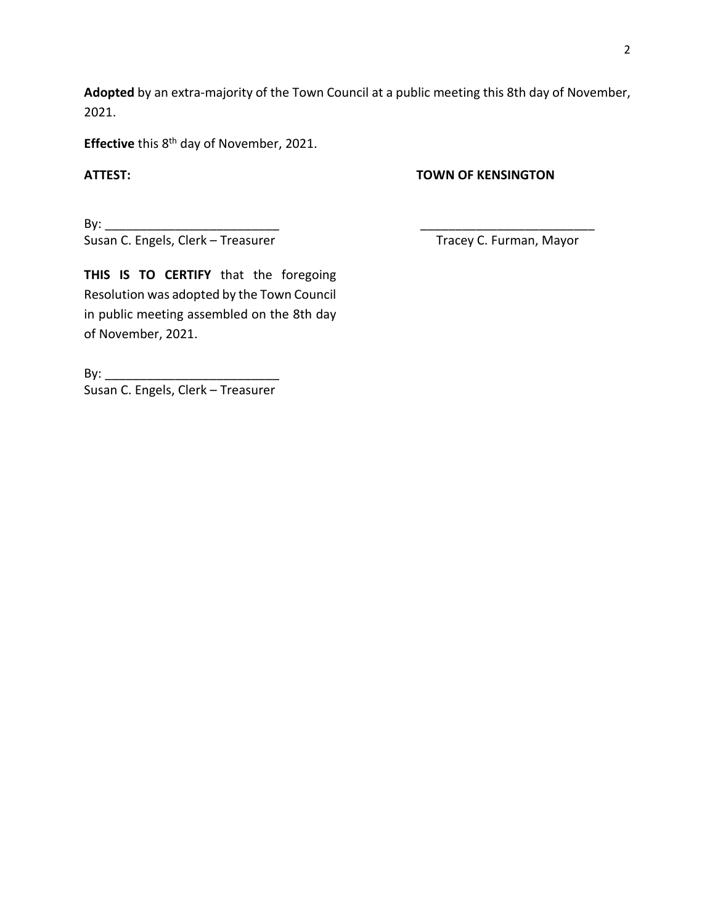**Adopted** by an extra-majority of the Town Council at a public meeting this 8th day of November, 2021.

Effective this 8<sup>th</sup> day of November, 2021.

#### **ATTEST: TOWN OF KENSINGTON**

By: \_\_\_\_\_\_\_\_\_\_\_\_\_\_\_\_\_\_\_\_\_\_\_\_\_ \_\_\_\_\_\_\_\_\_\_\_\_\_\_\_\_\_\_\_\_\_\_\_\_\_ Susan C. Engels, Clerk – Treasurer Tracey C. Furman, Mayor

**THIS IS TO CERTIFY** that the foregoing Resolution was adopted by the Town Council in public meeting assembled on the 8th day of November, 2021.

By: \_\_\_\_\_\_\_\_\_\_\_\_\_\_\_\_\_\_\_\_\_\_\_\_\_ Susan C. Engels, Clerk – Treasurer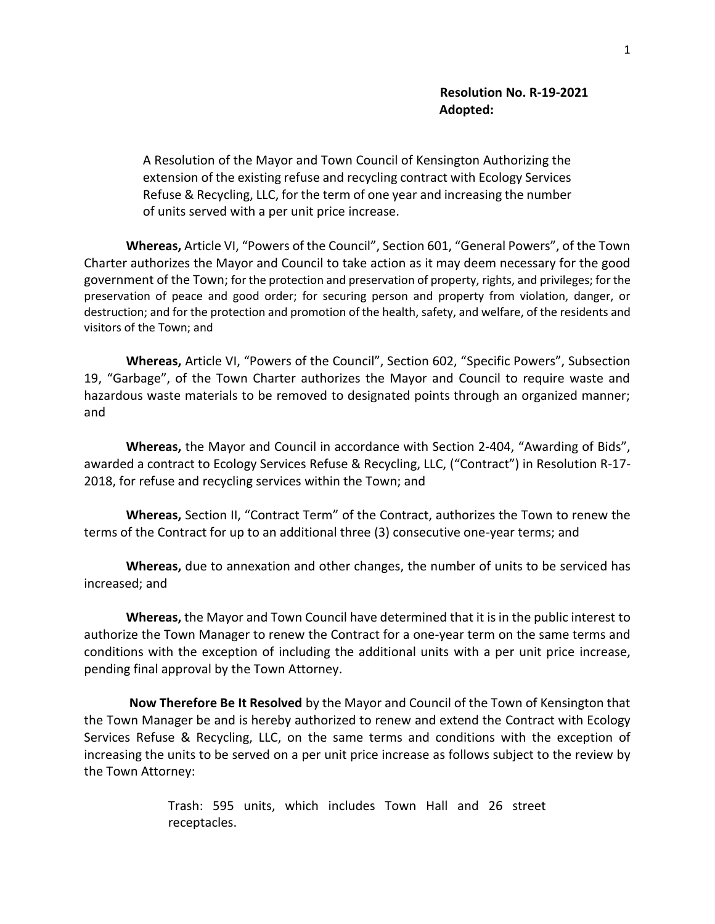A Resolution of the Mayor and Town Council of Kensington Authorizing the extension of the existing refuse and recycling contract with Ecology Services Refuse & Recycling, LLC, for the term of one year and increasing the number of units served with a per unit price increase.

**Whereas,** Article VI, "Powers of the Council", Section 601, "General Powers", of the Town Charter authorizes the Mayor and Council to take action as it may deem necessary for the good government of the Town; for the protection and preservation of property, rights, and privileges; for the preservation of peace and good order; for securing person and property from violation, danger, or destruction; and for the protection and promotion of the health, safety, and welfare, of the residents and visitors of the Town; and

**Whereas,** Article VI, "Powers of the Council", Section 602, "Specific Powers", Subsection 19, "Garbage", of the Town Charter authorizes the Mayor and Council to require waste and hazardous waste materials to be removed to designated points through an organized manner; and

**Whereas,** the Mayor and Council in accordance with Section 2-404, "Awarding of Bids", awarded a contract to Ecology Services Refuse & Recycling, LLC, ("Contract") in Resolution R-17- 2018, for refuse and recycling services within the Town; and

**Whereas,** Section II, "Contract Term" of the Contract, authorizes the Town to renew the terms of the Contract for up to an additional three (3) consecutive one-year terms; and

**Whereas,** due to annexation and other changes, the number of units to be serviced has increased; and

**Whereas,** the Mayor and Town Council have determined that it is in the public interest to authorize the Town Manager to renew the Contract for a one-year term on the same terms and conditions with the exception of including the additional units with a per unit price increase, pending final approval by the Town Attorney.

**Now Therefore Be It Resolved** by the Mayor and Council of the Town of Kensington that the Town Manager be and is hereby authorized to renew and extend the Contract with Ecology Services Refuse & Recycling, LLC, on the same terms and conditions with the exception of increasing the units to be served on a per unit price increase as follows subject to the review by the Town Attorney:

> Trash: 595 units, which includes Town Hall and 26 street receptacles.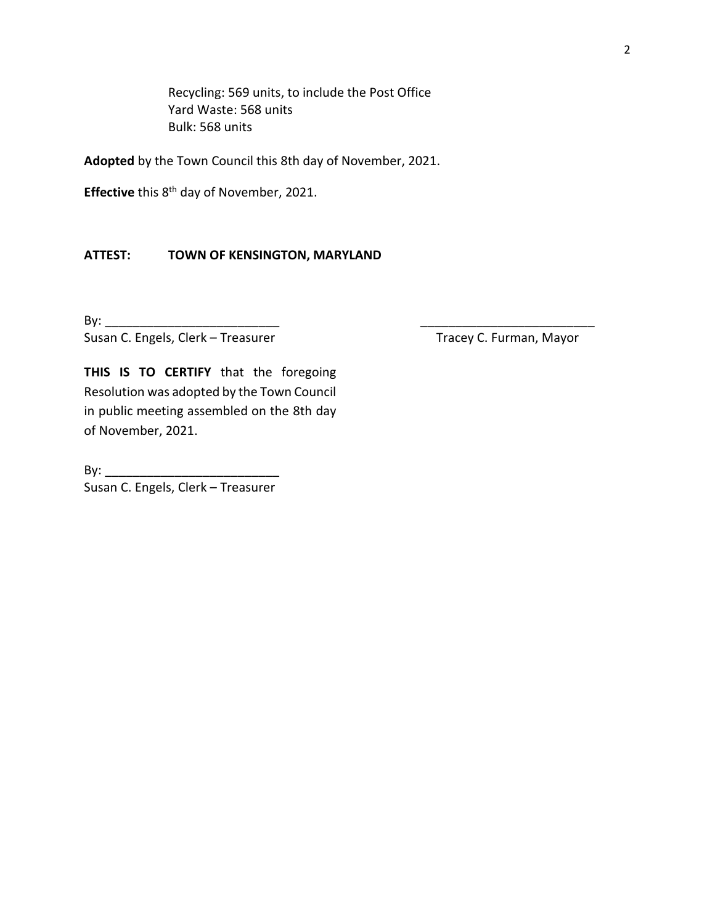Recycling: 569 units, to include the Post Office Yard Waste: 568 units Bulk: 568 units

**Adopted** by the Town Council this 8th day of November, 2021.

Effective this 8<sup>th</sup> day of November, 2021.

#### **ATTEST: TOWN OF KENSINGTON, MARYLAND**

By: \_\_\_\_\_\_\_\_\_\_\_\_\_\_\_\_\_\_\_\_\_\_\_\_\_ \_\_\_\_\_\_\_\_\_\_\_\_\_\_\_\_\_\_\_\_\_\_\_\_\_ Susan C. Engels, Clerk – Treasurer Tracey C. Furman, Mayor

**THIS IS TO CERTIFY** that the foregoing Resolution was adopted by the Town Council in public meeting assembled on the 8th day of November, 2021.

 $\mathsf{By:}$ Susan C. Engels, Clerk – Treasurer